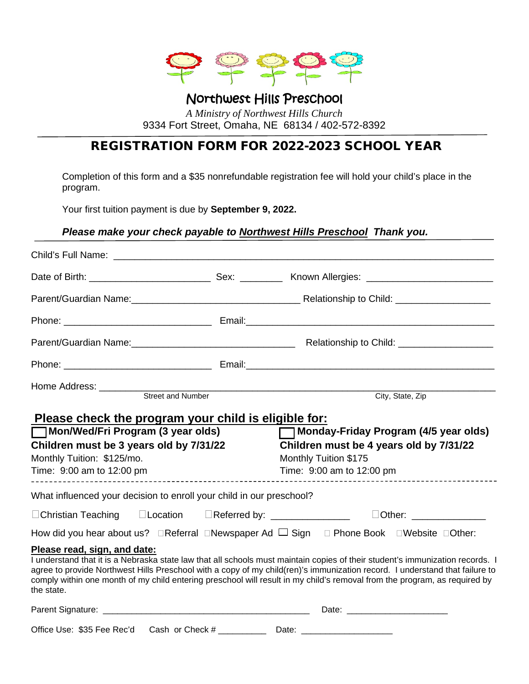

#### Northwest Hills Preschool *A Ministry of Northwest Hills Church*  9334 Fort Street, Omaha, NE 68134 / 402-572-8392

#### REGISTRATION FORM FOR 2022-2023 SCHOOL YEAR

Completion of this form and a \$35 nonrefundable registration fee will hold your child's place in the program.

Your first tuition payment is due by **September 9, 2022.**

#### *Please make your check payable to Northwest Hills Preschool Thank you.*

|                                                                                                                                                                                                        |  | City, State, Zip                                                                                                                                                                                                                                                                                                                                                                          |  |
|--------------------------------------------------------------------------------------------------------------------------------------------------------------------------------------------------------|--|-------------------------------------------------------------------------------------------------------------------------------------------------------------------------------------------------------------------------------------------------------------------------------------------------------------------------------------------------------------------------------------------|--|
| <u>Please check the program your child is eligible for:</u><br>Mon/Wed/Fri Program (3 year olds)<br>Children must be 3 years old by 7/31/22<br>Monthly Tuition: \$125/mo.<br>Time: 9:00 am to 12:00 pm |  | Monday-Friday Program (4/5 year olds)<br>Children must be 4 years old by 7/31/22<br>Monthly Tuition \$175<br>Time: 9:00 am to 12:00 pm                                                                                                                                                                                                                                                    |  |
| What influenced your decision to enroll your child in our preschool?                                                                                                                                   |  | ______________________                                                                                                                                                                                                                                                                                                                                                                    |  |
| □Christian Teaching □Location □Referred by: _______________                                                                                                                                            |  |                                                                                                                                                                                                                                                                                                                                                                                           |  |
|                                                                                                                                                                                                        |  | How did you hear about us? $\Box$ Referral $\Box$ Newspaper Ad $\Box$ Sign $\Box$ Phone Book $\Box$ Website $\Box$ Other:                                                                                                                                                                                                                                                                 |  |
| Please read, sign, and date:<br>the state.                                                                                                                                                             |  | I understand that it is a Nebraska state law that all schools must maintain copies of their student's immunization records. I<br>agree to provide Northwest Hills Preschool with a copy of my child(ren)'s immunization record. I understand that failure to<br>comply within one month of my child entering preschool will result in my child's removal from the program, as required by |  |
|                                                                                                                                                                                                        |  |                                                                                                                                                                                                                                                                                                                                                                                           |  |

Office Use: \$35 Fee Rec'd Cash or Check # \_\_\_\_\_\_\_\_\_\_\_\_\_\_\_ Date: \_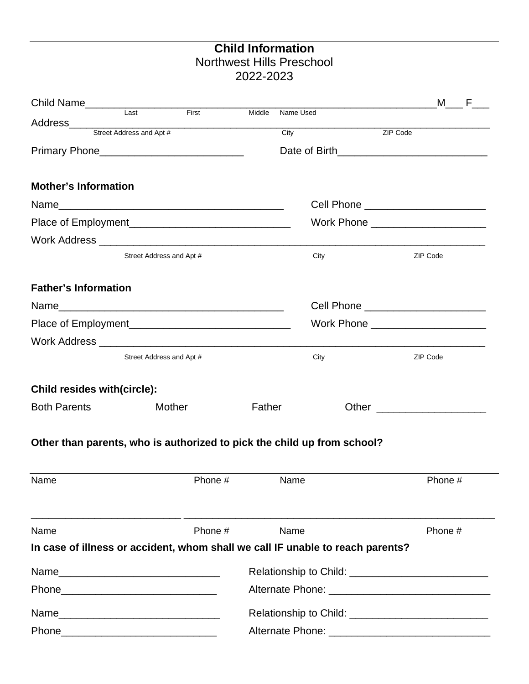### **Child Information** Northwest Hills Preschool 2022-2023

| Child Name<br>Last First                                                       |                          |         |        |           |      |                                                                                                                                                                                                                               | M F |
|--------------------------------------------------------------------------------|--------------------------|---------|--------|-----------|------|-------------------------------------------------------------------------------------------------------------------------------------------------------------------------------------------------------------------------------|-----|
|                                                                                |                          |         | Middle | Name Used |      |                                                                                                                                                                                                                               |     |
| Address<br>Street Address and Apt #                                            |                          |         |        | City      |      | ZIP Code                                                                                                                                                                                                                      |     |
| Primary Phone_______________________________                                   |                          |         |        |           |      |                                                                                                                                                                                                                               |     |
| <b>Mother's Information</b>                                                    |                          |         |        |           |      |                                                                                                                                                                                                                               |     |
|                                                                                |                          |         |        |           |      | Cell Phone ________________________                                                                                                                                                                                           |     |
|                                                                                |                          |         |        |           |      | Work Phone ________________________                                                                                                                                                                                           |     |
|                                                                                |                          |         |        |           |      |                                                                                                                                                                                                                               |     |
|                                                                                | Street Address and Apt # |         |        |           | City | ZIP Code                                                                                                                                                                                                                      |     |
| <b>Father's Information</b>                                                    |                          |         |        |           |      |                                                                                                                                                                                                                               |     |
|                                                                                |                          |         |        |           |      | Cell Phone _________________________                                                                                                                                                                                          |     |
|                                                                                |                          |         |        |           |      | Work Phone ______________________                                                                                                                                                                                             |     |
|                                                                                |                          |         |        |           |      |                                                                                                                                                                                                                               |     |
|                                                                                | Street Address and Apt # |         |        |           | City | ZIP Code                                                                                                                                                                                                                      |     |
| <b>Child resides with(circle):</b>                                             |                          |         |        |           |      |                                                                                                                                                                                                                               |     |
| <b>Both Parents</b>                                                            | Mother                   |         | Father |           |      |                                                                                                                                                                                                                               |     |
| Other than parents, who is authorized to pick the child up from school?        |                          |         |        |           |      |                                                                                                                                                                                                                               |     |
| Name                                                                           |                          | Phone # |        | Name      |      | Phone #                                                                                                                                                                                                                       |     |
| Name                                                                           |                          | Phone # |        | Name      |      | Phone #                                                                                                                                                                                                                       |     |
| In case of illness or accident, whom shall we call IF unable to reach parents? |                          |         |        |           |      |                                                                                                                                                                                                                               |     |
|                                                                                |                          |         |        |           |      | Relationship to Child: Network and Childs and Childs and Childs and Childs and Childs and Childs and Childs and Childs and Childs and Childs and Childs and Childs and Childs and Childs and Childs and Childs and Childs and |     |
|                                                                                |                          |         |        |           |      |                                                                                                                                                                                                                               |     |
| Name                                                                           |                          |         |        |           |      |                                                                                                                                                                                                                               |     |
|                                                                                |                          |         |        |           |      |                                                                                                                                                                                                                               |     |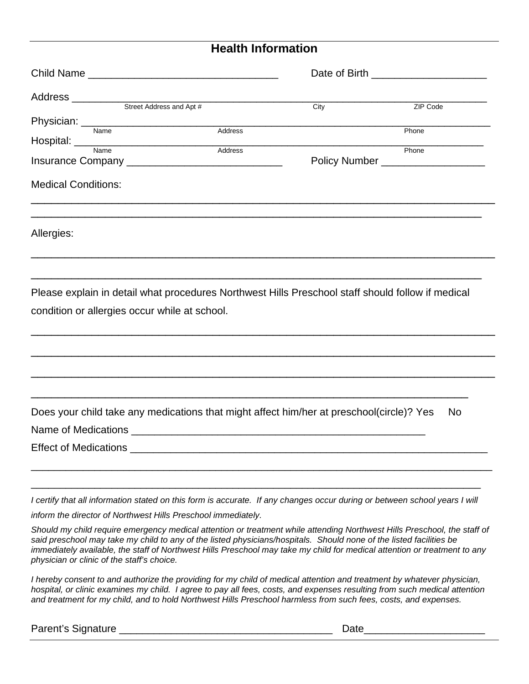#### **Health Information**

|                                                                                                                                                    |         | City | ZIP Code                          |  |  |
|----------------------------------------------------------------------------------------------------------------------------------------------------|---------|------|-----------------------------------|--|--|
| Physician: <u>Name</u>                                                                                                                             |         |      |                                   |  |  |
|                                                                                                                                                    | Address |      | Phone                             |  |  |
|                                                                                                                                                    | Address |      | Phone                             |  |  |
|                                                                                                                                                    |         |      | Policy Number ___________________ |  |  |
| <b>Medical Conditions:</b>                                                                                                                         |         |      |                                   |  |  |
| <u> 1989 - Johann John Harry Harry Harry Harry Harry Harry Harry Harry Harry Harry Harry Harry Harry Harry Harry</u><br>Allergies:                 |         |      |                                   |  |  |
| Please explain in detail what procedures Northwest Hills Preschool staff should follow if medical<br>condition or allergies occur while at school. |         |      |                                   |  |  |
| Does your child take any medications that might affect him/her at preschool(circle)? Yes                                                           |         |      | <b>No</b>                         |  |  |
|                                                                                                                                                    |         |      |                                   |  |  |
| <b>Effect of Medications</b>                                                                                                                       |         |      |                                   |  |  |
| I certify that all information stated on this form is accurate. If any changes occur during or between school years I will                         |         |      |                                   |  |  |
| inform the director of Northwest Hills Preschool immediately.                                                                                      |         |      |                                   |  |  |
| Should my child require emergency medical attention or treatment while attending Northwest Hills Preschool, the staff of                           |         |      |                                   |  |  |

*said preschool may take my child to any of the listed physicians/hospitals. Should none of the listed facilities be immediately available, the staff of Northwest Hills Preschool may take my child for medical attention or treatment to any physician or clinic of the staff's choice.*

*I hereby consent to and authorize the providing for my child of medical attention and treatment by whatever physician, hospital, or clinic examines my child. I agree to pay all fees, costs, and expenses resulting from such medical attention and treatment for my child, and to hold Northwest Hills Preschool harmless from such fees, costs, and expenses.*

Parent's Signature \_\_\_\_\_\_\_\_\_\_\_\_\_\_\_\_\_\_\_\_\_\_\_\_\_\_\_\_\_\_\_\_\_\_\_\_\_ Date\_\_\_\_\_\_\_\_\_\_\_\_\_\_\_\_\_\_\_\_\_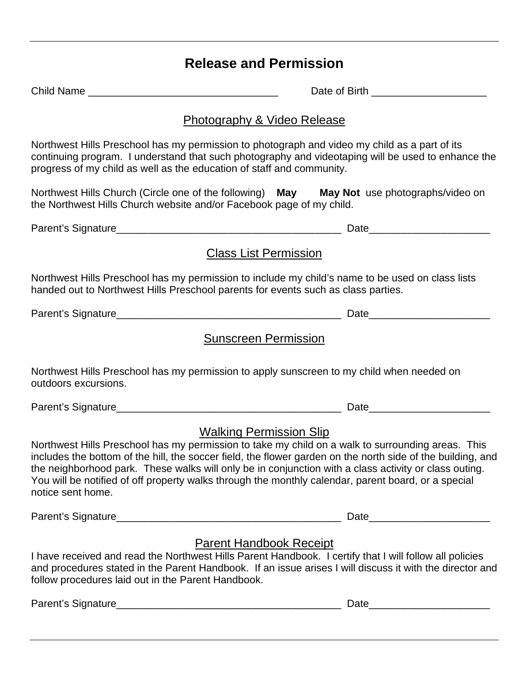## **Release and Permission**

|                                                                       | Date of Birth <b>Exercise 2008</b>                                                                                                                                                                                                                                                                                                                                                                                                                                 |  |  |
|-----------------------------------------------------------------------|--------------------------------------------------------------------------------------------------------------------------------------------------------------------------------------------------------------------------------------------------------------------------------------------------------------------------------------------------------------------------------------------------------------------------------------------------------------------|--|--|
|                                                                       | <b>Photography &amp; Video Release</b>                                                                                                                                                                                                                                                                                                                                                                                                                             |  |  |
| progress of my child as well as the education of staff and community. | Northwest Hills Preschool has my permission to photograph and video my child as a part of its<br>continuing program. I understand that such photography and videotaping will be used to enhance the                                                                                                                                                                                                                                                                |  |  |
| the Northwest Hills Church website and/or Facebook page of my child.  | Northwest Hills Church (Circle one of the following) May May Not use photographs/video on                                                                                                                                                                                                                                                                                                                                                                          |  |  |
|                                                                       |                                                                                                                                                                                                                                                                                                                                                                                                                                                                    |  |  |
|                                                                       | <b>Class List Permission</b>                                                                                                                                                                                                                                                                                                                                                                                                                                       |  |  |
|                                                                       | Northwest Hills Preschool has my permission to include my child's name to be used on class lists<br>handed out to Northwest Hills Preschool parents for events such as class parties.                                                                                                                                                                                                                                                                              |  |  |
|                                                                       | Date                                                                                                                                                                                                                                                                                                                                                                                                                                                               |  |  |
|                                                                       | <b>Sunscreen Permission</b>                                                                                                                                                                                                                                                                                                                                                                                                                                        |  |  |
| outdoors excursions.                                                  | Northwest Hills Preschool has my permission to apply sunscreen to my child when needed on                                                                                                                                                                                                                                                                                                                                                                          |  |  |
|                                                                       |                                                                                                                                                                                                                                                                                                                                                                                                                                                                    |  |  |
| notice sent home.                                                     | <b>Walking Permission Slip</b><br>Northwest Hills Preschool has my permission to take my child on a walk to surrounding areas. This<br>includes the bottom of the hill, the soccer field, the flower garden on the north side of the building, and<br>the neighborhood park. These walks will only be in conjunction with a class activity or class outing.<br>You will be notified of off property walks through the monthly calendar, parent board, or a special |  |  |
|                                                                       | Date                                                                                                                                                                                                                                                                                                                                                                                                                                                               |  |  |
| follow procedures laid out in the Parent Handbook.                    | <b>Parent Handbook Receipt</b><br>I have received and read the Northwest Hills Parent Handbook. I certify that I will follow all policies<br>and procedures stated in the Parent Handbook. If an issue arises I will discuss it with the director and                                                                                                                                                                                                              |  |  |
|                                                                       |                                                                                                                                                                                                                                                                                                                                                                                                                                                                    |  |  |
|                                                                       |                                                                                                                                                                                                                                                                                                                                                                                                                                                                    |  |  |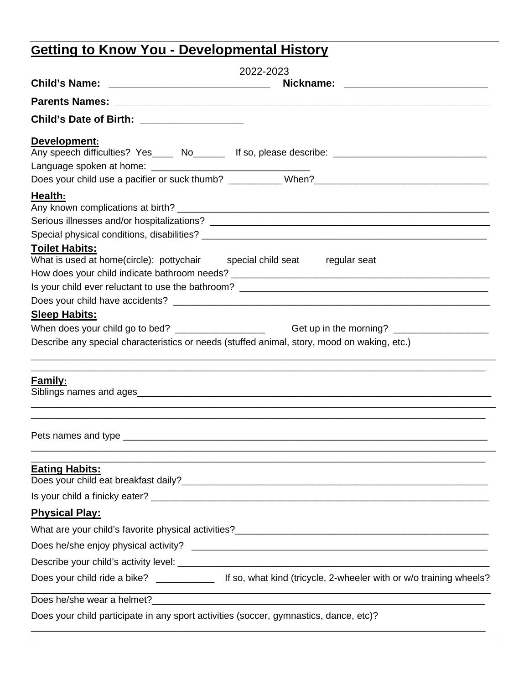# **Getting to Know You - Developmental History**

|                                                                                       | 2022-2023                                                                                                       |
|---------------------------------------------------------------------------------------|-----------------------------------------------------------------------------------------------------------------|
|                                                                                       |                                                                                                                 |
|                                                                                       |                                                                                                                 |
| Child's Date of Birth: ___________________                                            |                                                                                                                 |
| Development:                                                                          |                                                                                                                 |
|                                                                                       | Any speech difficulties? Yes____ No______ If so, please describe: __________________________________            |
|                                                                                       |                                                                                                                 |
|                                                                                       |                                                                                                                 |
| Health:                                                                               |                                                                                                                 |
|                                                                                       |                                                                                                                 |
|                                                                                       |                                                                                                                 |
| <b>Toilet Habits:</b>                                                                 |                                                                                                                 |
| What is used at home(circle): pottychair special child seat regular seat              |                                                                                                                 |
|                                                                                       |                                                                                                                 |
|                                                                                       |                                                                                                                 |
|                                                                                       |                                                                                                                 |
| <b>Sleep Habits:</b>                                                                  |                                                                                                                 |
|                                                                                       | When does your child go to bed? _________________________________Get up in the morning? ______________________  |
|                                                                                       | Describe any special characteristics or needs (stuffed animal, story, mood on waking, etc.)                     |
|                                                                                       |                                                                                                                 |
| <b>Family:</b>                                                                        |                                                                                                                 |
|                                                                                       |                                                                                                                 |
|                                                                                       |                                                                                                                 |
|                                                                                       |                                                                                                                 |
|                                                                                       |                                                                                                                 |
|                                                                                       |                                                                                                                 |
| <b>Eating Habits:</b>                                                                 |                                                                                                                 |
|                                                                                       |                                                                                                                 |
|                                                                                       |                                                                                                                 |
| <b>Physical Play:</b>                                                                 |                                                                                                                 |
|                                                                                       |                                                                                                                 |
|                                                                                       |                                                                                                                 |
|                                                                                       |                                                                                                                 |
|                                                                                       | Does your child ride a bike? _______________ If so, what kind (tricycle, 2-wheeler with or w/o training wheels? |
|                                                                                       |                                                                                                                 |
|                                                                                       |                                                                                                                 |
| Does your child participate in any sport activities (soccer, gymnastics, dance, etc)? |                                                                                                                 |

\_\_\_\_\_\_\_\_\_\_\_\_\_\_\_\_\_\_\_\_\_\_\_\_\_\_\_\_\_\_\_\_\_\_\_\_\_\_\_\_\_\_\_\_\_\_\_\_\_\_\_\_\_\_\_\_\_\_\_\_\_\_\_\_\_\_\_\_\_\_\_\_\_\_\_\_\_\_\_\_\_\_\_\_\_\_